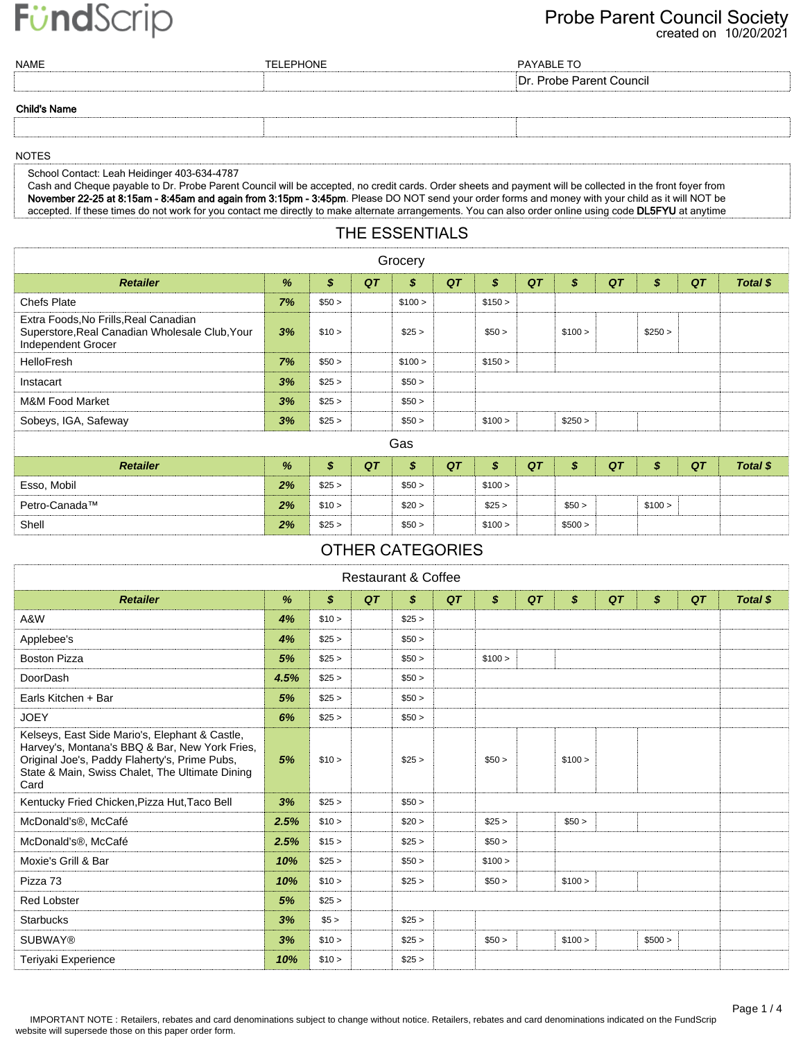#### created on 10/20/2021 Probe Parent Council Society

| <b>NAME</b>         | <b>TELEPHONE</b> | PAYABLE TO               |
|---------------------|------------------|--------------------------|
|                     |                  | Dr. Probe Parent Council |
| <b>Child's Name</b> |                  |                          |
|                     |                  |                          |

#### NOTES

School Contact: Leah Heidinger 403-634-4787

Cash and Cheque payable to Dr. Probe Parent Council will be accepted, no credit cards. Order sheets and payment will be collected in the front foyer from November 22-25 at 8:15am - 8:45am and again from 3:15pm - 3:45pm. Please DO NOT send your order forms and money with your child as it will NOT be accepted. If these times do not work for you contact me directly to make alternate arrangements. You can also order online using code DL5FYU at anytime

### THE ESSENTIALS

| Grocery                                                                                                       |    |                  |    |         |    |         |    |         |    |         |    |          |
|---------------------------------------------------------------------------------------------------------------|----|------------------|----|---------|----|---------|----|---------|----|---------|----|----------|
| <b>Retailer</b>                                                                                               | %  | $\boldsymbol{s}$ | QT | \$      | QT | \$      | QT | \$      | QT | \$      | QT | Total \$ |
| <b>Chefs Plate</b>                                                                                            | 7% | \$50 >           |    | \$100 > |    | \$150 > |    |         |    |         |    |          |
| Extra Foods, No Frills, Real Canadian<br>Superstore, Real Canadian Wholesale Club, Your<br>Independent Grocer | 3% | \$10 >           |    | \$25 >  |    | \$50 >  |    | \$100 > |    | \$250 > |    |          |
| <b>HelloFresh</b>                                                                                             | 7% | \$50 >           |    | \$100 > |    | \$150 > |    |         |    |         |    |          |
| Instacart                                                                                                     | 3% | \$25 >           |    | \$50 >  |    |         |    |         |    |         |    |          |
| M&M Food Market                                                                                               | 3% | \$25 >           |    | \$50 >  |    |         |    |         |    |         |    |          |
| Sobeys, IGA, Safeway                                                                                          | 3% | \$25 >           |    | \$50 >  |    | \$100 > |    | \$250 > |    |         |    |          |
| Gas                                                                                                           |    |                  |    |         |    |         |    |         |    |         |    |          |
| <b>Retailer</b>                                                                                               | %  | \$               | QT | \$      | QT | \$      | QT | \$      | QT | \$      | QT | Total \$ |
| Esso, Mobil                                                                                                   | 2% | \$25 >           |    | \$50 >  |    | \$100 > |    |         |    |         |    |          |
| Petro-Canada™                                                                                                 | 2% | \$10 >           |    | \$20 >  |    | \$25 >  |    | \$50 >  |    | \$100 > |    |          |
| Shell                                                                                                         | 2% | \$25 >           |    | \$50 >  |    | \$100 > |    | \$500 > |    |         |    |          |

### OTHER CATEGORIES

| <b>Restaurant &amp; Coffee</b>                                                                                                                                                                               |      |                  |    |                  |    |         |    |         |    |         |    |          |
|--------------------------------------------------------------------------------------------------------------------------------------------------------------------------------------------------------------|------|------------------|----|------------------|----|---------|----|---------|----|---------|----|----------|
| <b>Retailer</b>                                                                                                                                                                                              | %    | $\boldsymbol{s}$ | QT | $\boldsymbol{s}$ | QT | \$      | QT | \$      | QT | \$      | QT | Total \$ |
| A&W                                                                                                                                                                                                          | 4%   | \$10 >           |    | \$25 >           |    |         |    |         |    |         |    |          |
| Applebee's                                                                                                                                                                                                   | 4%   | \$25 >           |    | \$50 >           |    |         |    |         |    |         |    |          |
| <b>Boston Pizza</b>                                                                                                                                                                                          | 5%   | \$25 >           |    | \$50 >           |    | \$100 > |    |         |    |         |    |          |
| DoorDash                                                                                                                                                                                                     | 4.5% | \$25 >           |    | \$50 >           |    |         |    |         |    |         |    |          |
| Earls Kitchen + Bar                                                                                                                                                                                          | 5%   | \$25 >           |    | \$50 >           |    |         |    |         |    |         |    |          |
| <b>JOEY</b>                                                                                                                                                                                                  | 6%   | \$25 >           |    | \$50 >           |    |         |    |         |    |         |    |          |
| Kelseys, East Side Mario's, Elephant & Castle,<br>Harvey's, Montana's BBQ & Bar, New York Fries,<br>Original Joe's, Paddy Flaherty's, Prime Pubs,<br>State & Main, Swiss Chalet, The Ultimate Dining<br>Card | 5%   | \$10 >           |    | \$25 >           |    | \$50 >  |    | \$100 > |    |         |    |          |
| Kentucky Fried Chicken, Pizza Hut, Taco Bell                                                                                                                                                                 | 3%   | \$25 >           |    | \$50 >           |    |         |    |         |    |         |    |          |
| McDonald's <sup>®</sup> , McCafé                                                                                                                                                                             | 2.5% | \$10 >           |    | \$20 >           |    | \$25 >  |    | \$50 >  |    |         |    |          |
| McDonald's <sup>®</sup> , McCafé                                                                                                                                                                             | 2.5% | \$15 >           |    | \$25 >           |    | \$50 >  |    |         |    |         |    |          |
| Moxie's Grill & Bar                                                                                                                                                                                          | 10%  | \$25 >           |    | \$50 >           |    | \$100 > |    |         |    |         |    |          |
| Pizza 73                                                                                                                                                                                                     | 10%  | \$10 >           |    | \$25 >           |    | \$50 >  |    | \$100 > |    |         |    |          |
| <b>Red Lobster</b>                                                                                                                                                                                           | 5%   | \$25 >           |    |                  |    |         |    |         |    |         |    |          |
| <b>Starbucks</b>                                                                                                                                                                                             | 3%   | \$5 >            |    | \$25 >           |    |         |    |         |    |         |    |          |
| <b>SUBWAY®</b>                                                                                                                                                                                               | 3%   | \$10 >           |    | \$25 >           |    | \$50 >  |    | \$100 > |    | \$500 > |    |          |
| Teriyaki Experience                                                                                                                                                                                          | 10%  | \$10 >           |    | \$25 >           |    |         |    |         |    |         |    |          |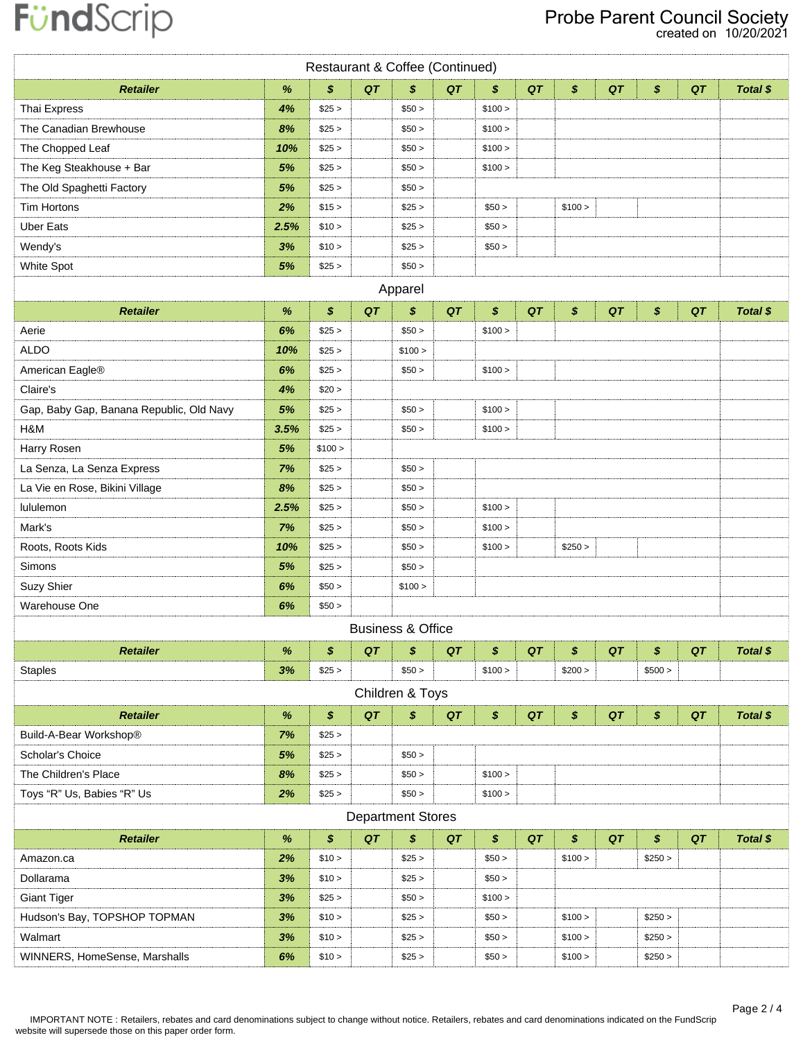| Restaurant & Coffee (Continued)          |      |         |    |                              |    |         |    |         |    |         |    |          |
|------------------------------------------|------|---------|----|------------------------------|----|---------|----|---------|----|---------|----|----------|
| <b>Retailer</b>                          | $\%$ | \$      | QT | \$                           | QT | \$      | QT | \$      | QT | \$      | QT | Total \$ |
| Thai Express                             | 4%   | \$25 >  |    | \$50 >                       |    | \$100 > |    |         |    |         |    |          |
| The Canadian Brewhouse                   | 8%   | \$25 >  |    | \$50 >                       |    | \$100 > |    |         |    |         |    |          |
| The Chopped Leaf                         | 10%  | \$25 >  |    | \$50 >                       |    | \$100 > |    |         |    |         |    |          |
| The Keg Steakhouse + Bar                 | 5%   | \$25 >  |    | \$50 >                       |    | \$100 > |    |         |    |         |    |          |
| The Old Spaghetti Factory                | 5%   | \$25 >  |    | \$50 >                       |    |         |    |         |    |         |    |          |
| Tim Hortons                              | 2%   | \$15 >  |    | \$25 >                       |    | \$50 >  |    | \$100 > |    |         |    |          |
| <b>Uber Eats</b>                         | 2.5% | \$10 >  |    | \$25 >                       |    | \$50 >  |    |         |    |         |    |          |
| Wendy's                                  | 3%   | \$10 >  |    | \$25 >                       |    | \$50 >  |    |         |    |         |    |          |
| White Spot                               | 5%   | \$25 >  |    | \$50 >                       |    |         |    |         |    |         |    |          |
|                                          |      |         |    | Apparel                      |    |         |    |         |    |         |    |          |
| <b>Retailer</b>                          | $\%$ | \$      | QT | \$                           | QT | \$      | QT | \$      | QT | \$      | QT | Total \$ |
| Aerie                                    | 6%   | \$25 >  |    | \$50 >                       |    | \$100 > |    |         |    |         |    |          |
| <b>ALDO</b>                              | 10%  | \$25 >  |    | \$100 >                      |    |         |    |         |    |         |    |          |
| American Eagle®                          | 6%   | \$25 >  |    | \$50 >                       |    | \$100 > |    |         |    |         |    |          |
| Claire's                                 | 4%   | \$20 >  |    |                              |    |         |    |         |    |         |    |          |
| Gap, Baby Gap, Banana Republic, Old Navy | 5%   | \$25 >  |    | \$50 >                       |    | \$100 > |    |         |    |         |    |          |
| H&M                                      | 3.5% | \$25 >  |    | \$50 >                       |    | \$100 > |    |         |    |         |    |          |
| Harry Rosen                              | 5%   | \$100 > |    |                              |    |         |    |         |    |         |    |          |
| La Senza, La Senza Express               | 7%   | \$25 >  |    | \$50 >                       |    |         |    |         |    |         |    |          |
| La Vie en Rose, Bikini Village           | 8%   | \$25 >  |    | \$50 >                       |    |         |    |         |    |         |    |          |
| lululemon                                | 2.5% | \$25 >  |    | \$50 >                       |    | \$100 > |    |         |    |         |    |          |
| Mark's                                   | 7%   | \$25 >  |    | \$50 >                       |    | \$100 > |    |         |    |         |    |          |
| Roots, Roots Kids                        | 10%  | \$25 >  |    | \$50 >                       |    | \$100 > |    | \$250 > |    |         |    |          |
| Simons                                   | 5%   | \$25 >  |    | \$50 >                       |    |         |    |         |    |         |    |          |
| Suzy Shier                               | 6%   | \$50 >  |    | \$100 >                      |    |         |    |         |    |         |    |          |
| Warehouse One                            | 6%   | \$50 >  |    |                              |    |         |    |         |    |         |    |          |
|                                          |      |         |    | <b>Business &amp; Office</b> |    |         |    |         |    |         |    |          |
| <b>Retailer</b>                          | $\%$ | \$      | QT | \$                           | QT | \$      | QT | \$      | QT | \$      | QT | Total \$ |
| <b>Staples</b>                           | 3%   | \$25 >  |    | \$50 >                       |    | \$100 > |    | \$200 > |    | \$500 > |    |          |
|                                          |      |         |    | Children & Toys              |    |         |    |         |    |         |    |          |
| <b>Retailer</b>                          | $\%$ | \$      | QT | \$                           | QT | \$      | QT | \$      | QT | \$      | QT | Total \$ |
| Build-A-Bear Workshop®                   | 7%   | \$25 >  |    |                              |    |         |    |         |    |         |    |          |
| Scholar's Choice                         | 5%   | \$25 >  |    | \$50 >                       |    |         |    |         |    |         |    |          |
| The Children's Place                     | 8%   | \$25 >  |    | \$50 >                       |    | \$100 > |    |         |    |         |    |          |
| Toys "R" Us, Babies "R" Us               | 2%   | \$25 >  |    | \$50 >                       |    | \$100 > |    |         |    |         |    |          |
| <b>Department Stores</b>                 |      |         |    |                              |    |         |    |         |    |         |    |          |
| <b>Retailer</b>                          | $\%$ | \$      | QT | \$                           | QT | \$      | QT | \$      | QT | \$      | QT | Total \$ |
| Amazon.ca                                | 2%   | \$10 >  |    | \$25 >                       |    | \$50 >  |    | \$100 > |    | \$250 > |    |          |
| Dollarama                                | 3%   | \$10 >  |    | \$25 >                       |    | \$50 >  |    |         |    |         |    |          |
| <b>Giant Tiger</b>                       | 3%   | \$25 >  |    | \$50 >                       |    | \$100 > |    |         |    |         |    |          |
| Hudson's Bay, TOPSHOP TOPMAN             | 3%   | \$10 >  |    | \$25 >                       |    | \$50 >  |    | \$100 > |    | \$250 > |    |          |
| Walmart                                  | 3%   | \$10 >  |    | \$25 >                       |    | \$50 >  |    | \$100 > |    | \$250 > |    |          |
| WINNERS, HomeSense, Marshalls            | 6%   | \$10 >  |    | \$25 >                       |    | \$50 >  |    | \$100 > |    | \$250 > |    |          |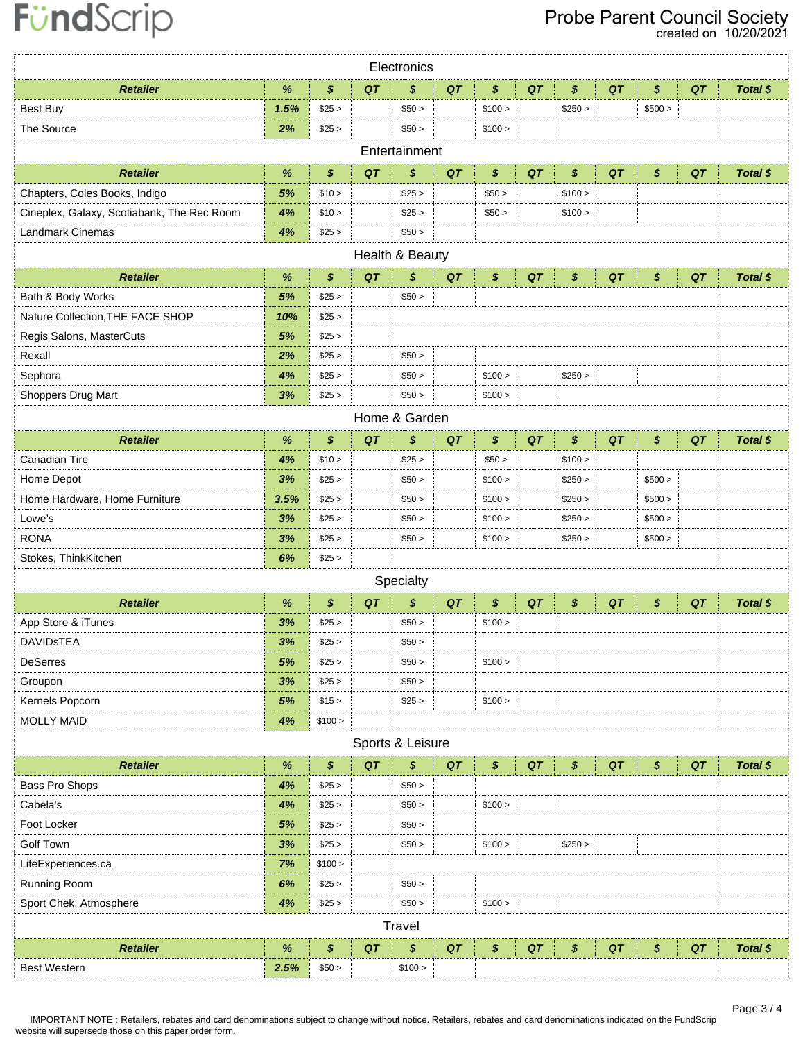### Probe Parent Council Society

created on 10/20/2021

|                                            |      |                  |    | Electronics      |    |         |    |         |    |         |    |                 |  |
|--------------------------------------------|------|------------------|----|------------------|----|---------|----|---------|----|---------|----|-----------------|--|
| <b>Retailer</b>                            | %    | \$               | QT | \$               | QT | \$      | QT | \$      | QT | \$      | QT | Total \$        |  |
| Best Buy                                   | 1.5% | \$25 >           |    | \$50 >           |    | \$100 > |    | \$250 > |    | \$500 > |    |                 |  |
| The Source                                 | 2%   | \$25 >           |    | \$50 >           |    | \$100 > |    |         |    |         |    |                 |  |
| Entertainment                              |      |                  |    |                  |    |         |    |         |    |         |    |                 |  |
| <b>Retailer</b>                            | $\%$ | \$               | QT | \$               | QT | \$      | QT | \$      | QT | \$      | QT | Total \$        |  |
| Chapters, Coles Books, Indigo              | 5%   | \$10 >           |    | \$25 >           |    | \$50 >  |    | \$100 > |    |         |    |                 |  |
| Cineplex, Galaxy, Scotiabank, The Rec Room | 4%   | \$10 >           |    | \$25 >           |    | \$50 >  |    | \$100 > |    |         |    |                 |  |
| <b>Landmark Cinemas</b>                    | 4%   | \$25 >           |    | \$50 >           |    |         |    |         |    |         |    |                 |  |
| Health & Beauty                            |      |                  |    |                  |    |         |    |         |    |         |    |                 |  |
| <b>Retailer</b>                            | $\%$ | \$               | QT | \$               | QT | \$      | QT | \$      | QT | \$      | QT | <b>Total \$</b> |  |
| Bath & Body Works                          | 5%   | \$25 >           |    | \$50 >           |    |         |    |         |    |         |    |                 |  |
| Nature Collection, THE FACE SHOP           | 10%  | \$25 >           |    |                  |    |         |    |         |    |         |    |                 |  |
| Regis Salons, MasterCuts                   | 5%   | \$25 >           |    |                  |    |         |    |         |    |         |    |                 |  |
| Rexall                                     | 2%   | \$25 >           |    | \$50 >           |    |         |    |         |    |         |    |                 |  |
| Sephora                                    | 4%   | \$25 >           |    | \$50 >           |    | \$100 > |    | \$250 > |    |         |    |                 |  |
| Shoppers Drug Mart                         | 3%   | \$25 >           |    | \$50 >           |    | \$100 > |    |         |    |         |    |                 |  |
| Home & Garden                              |      |                  |    |                  |    |         |    |         |    |         |    |                 |  |
| <b>Retailer</b>                            | %    | $\boldsymbol{s}$ | QT | \$               | QT | \$      | QT | \$      | QT | \$      | QT | Total \$        |  |
| Canadian Tire                              | 4%   | \$10 >           |    | \$25 >           |    | \$50 >  |    | \$100 > |    |         |    |                 |  |
| Home Depot                                 | 3%   | \$25 >           |    | \$50 >           |    | \$100 > |    | \$250 > |    | \$500 > |    |                 |  |
| Home Hardware, Home Furniture              | 3.5% | \$25 >           |    | \$50 >           |    | \$100 > |    | \$250 > |    | \$500 > |    |                 |  |
| Lowe's                                     | 3%   | \$25 >           |    | \$50 >           |    | \$100 > |    | \$250 > |    | \$500 > |    |                 |  |
| <b>RONA</b>                                | 3%   | \$25 >           |    | \$50 >           |    | \$100 > |    | \$250 > |    | \$500 > |    |                 |  |
| Stokes, ThinkKitchen                       | 6%   | \$25 >           |    |                  |    |         |    |         |    |         |    |                 |  |
|                                            |      |                  |    | Specialty        |    |         |    |         |    |         |    |                 |  |
| <b>Retailer</b>                            | $\%$ | \$               | QT | \$               | QT | \$      | QT | \$      | QT | \$      | QT | Total \$        |  |
| App Store & iTunes                         | 3%   | \$25 >           |    | \$50 >           |    | \$100 > |    |         |    |         |    |                 |  |
| <b>DAVIDSTEA</b>                           | 3%   | \$25 >           |    | \$50 >           |    |         |    |         |    |         |    |                 |  |
| <b>DeSerres</b>                            | 5%   | \$25 >           |    | \$50 >           |    | \$100 > |    |         |    |         |    |                 |  |
| Groupon                                    | 3%   | \$25 >           |    | \$50 >           |    |         |    |         |    |         |    |                 |  |
| Kernels Popcorn                            | 5%   | \$15 >           |    | \$25 >           |    | \$100 > |    |         |    |         |    |                 |  |
| <b>MOLLY MAID</b>                          | 4%   | \$100 >          |    |                  |    |         |    |         |    |         |    |                 |  |
|                                            |      |                  |    | Sports & Leisure |    |         |    |         |    |         |    |                 |  |
| <b>Retailer</b>                            | $\%$ | \$               | QT | \$               | QT | \$      | QT | \$      | QT | \$      | QT | Total \$        |  |
| Bass Pro Shops                             | 4%   | \$25 >           |    | \$50 >           |    |         |    |         |    |         |    |                 |  |
| Cabela's                                   | 4%   | \$25 >           |    | \$50 >           |    | \$100 > |    |         |    |         |    |                 |  |
| Foot Locker                                | 5%   | \$25 >           |    | \$50 >           |    |         |    |         |    |         |    |                 |  |
| <b>Golf Town</b>                           | 3%   | \$25 >           |    | \$50 >           |    | \$100 > |    | \$250 > |    |         |    |                 |  |
| LifeExperiences.ca                         | 7%   | \$100 >          |    |                  |    |         |    |         |    |         |    |                 |  |
| Running Room                               | 6%   | \$25 >           |    | \$50 >           |    |         |    |         |    |         |    |                 |  |
| Sport Chek, Atmosphere                     | 4%   | \$25 >           |    | \$50 >           |    | \$100 > |    |         |    |         |    |                 |  |
| Travel                                     |      |                  |    |                  |    |         |    |         |    |         |    |                 |  |
| <b>Retailer</b>                            | $\%$ | \$               | QT | \$               | QT | \$      | QT | \$      | QT | \$      | QT | Total \$        |  |
| <b>Best Western</b>                        | 2.5% | \$50 >           |    | \$100 >          |    |         |    |         |    |         |    |                 |  |

IMPORTANT NOTE : Retailers, rebates and card denominations subject to change without notice. Retailers, rebates and card denominations indicated on the FundScrip website will supersede those on this paper order form.